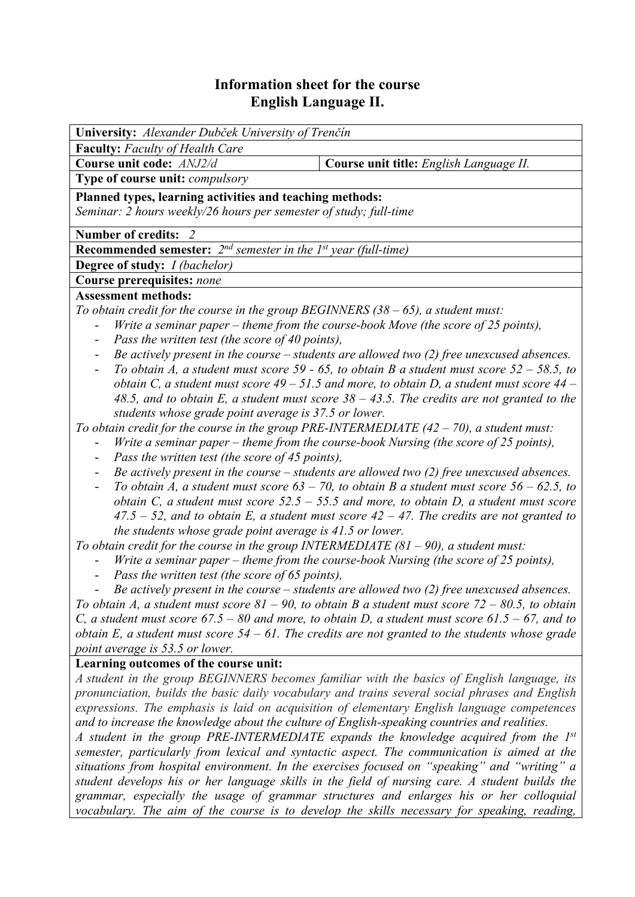# **Information sheet for the course English Language II.**

| University: Alexander Dubček University of Trenčín                                                                                                                                       |                                                                                                 |  |  |  |  |  |
|------------------------------------------------------------------------------------------------------------------------------------------------------------------------------------------|-------------------------------------------------------------------------------------------------|--|--|--|--|--|
| <b>Faculty:</b> Faculty of Health Care                                                                                                                                                   |                                                                                                 |  |  |  |  |  |
| Course unit code: ANJ2/d                                                                                                                                                                 | Course unit title: English Language II.                                                         |  |  |  |  |  |
| Type of course unit: compulsory                                                                                                                                                          |                                                                                                 |  |  |  |  |  |
| Planned types, learning activities and teaching methods:                                                                                                                                 |                                                                                                 |  |  |  |  |  |
| Seminar: 2 hours weekly/26 hours per semester of study; full-time                                                                                                                        |                                                                                                 |  |  |  |  |  |
| <b>Number of credits:</b><br><sup>2</sup>                                                                                                                                                |                                                                                                 |  |  |  |  |  |
| <b>Recommended semester:</b> $2^{nd}$ semester in the 1 <sup>st</sup> year (full-time)                                                                                                   |                                                                                                 |  |  |  |  |  |
| <b>Degree of study:</b> <i>I (bachelor)</i>                                                                                                                                              |                                                                                                 |  |  |  |  |  |
| <b>Course prerequisites: none</b>                                                                                                                                                        |                                                                                                 |  |  |  |  |  |
| <b>Assessment methods:</b>                                                                                                                                                               |                                                                                                 |  |  |  |  |  |
| To obtain credit for the course in the group BEGINNERS $(38 - 65)$ , a student must:                                                                                                     |                                                                                                 |  |  |  |  |  |
| Write a seminar paper – theme from the course-book Move (the score of 25 points),<br>$\overline{\phantom{0}}$                                                                            |                                                                                                 |  |  |  |  |  |
| Pass the written test (the score of 40 points),                                                                                                                                          |                                                                                                 |  |  |  |  |  |
| $\overline{\phantom{0}}$                                                                                                                                                                 | Be actively present in the course $-$ students are allowed two (2) free unexcused absences.     |  |  |  |  |  |
| To obtain A, a student must score 59 - 65, to obtain B a student must score $52 - 58.5$ , to<br>$\qquad \qquad \blacksquare$                                                             |                                                                                                 |  |  |  |  |  |
| obtain C, a student must score $49 - 51.5$ and more, to obtain D, a student must score $44 -$                                                                                            |                                                                                                 |  |  |  |  |  |
| 48.5, and to obtain E, a student must score $38 - 43.5$ . The credits are not granted to the                                                                                             |                                                                                                 |  |  |  |  |  |
| students whose grade point average is 37.5 or lower.                                                                                                                                     |                                                                                                 |  |  |  |  |  |
| To obtain credit for the course in the group PRE-INTERMEDIATE $(42 - 70)$ , a student must:                                                                                              |                                                                                                 |  |  |  |  |  |
|                                                                                                                                                                                          | Write a seminar paper – theme from the course-book Nursing (the score of 25 points),            |  |  |  |  |  |
| Pass the written test (the score of 45 points),<br>Be actively present in the course $-$ students are allowed two (2) free unexcused absences.                                           |                                                                                                 |  |  |  |  |  |
| $\overline{\phantom{a}}$                                                                                                                                                                 | To obtain A, a student must score $63 - 70$ , to obtain B a student must score $56 - 62.5$ , to |  |  |  |  |  |
|                                                                                                                                                                                          | obtain C, a student must score $52.5 - 55.5$ and more, to obtain D, a student must score        |  |  |  |  |  |
|                                                                                                                                                                                          | $47.5 - 52$ , and to obtain E, a student must score $42 - 47$ . The credits are not granted to  |  |  |  |  |  |
| the students whose grade point average is 41.5 or lower.                                                                                                                                 |                                                                                                 |  |  |  |  |  |
| To obtain credit for the course in the group INTERMEDIATE $(81 - 90)$ , a student must:                                                                                                  |                                                                                                 |  |  |  |  |  |
| Write a seminar paper – theme from the course-book Nursing (the score of 25 points),                                                                                                     |                                                                                                 |  |  |  |  |  |
| Pass the written test (the score of 65 points),                                                                                                                                          |                                                                                                 |  |  |  |  |  |
| Be actively present in the course $-$ students are allowed two (2) free unexcused absences.                                                                                              |                                                                                                 |  |  |  |  |  |
| To obtain A, a student must score $81 - 90$ , to obtain B a student must score $72 - 80.5$ , to obtain                                                                                   |                                                                                                 |  |  |  |  |  |
| C, a student must score $67.5 - 80$ and more, to obtain D, a student must score $61.5 - 67$ , and to                                                                                     |                                                                                                 |  |  |  |  |  |
| obtain E, a student must score $54 - 61$ . The credits are not granted to the students whose grade                                                                                       |                                                                                                 |  |  |  |  |  |
| point average is 53.5 or lower.                                                                                                                                                          |                                                                                                 |  |  |  |  |  |
| Learning outcomes of the course unit:                                                                                                                                                    |                                                                                                 |  |  |  |  |  |
|                                                                                                                                                                                          | A student in the group BEGINNERS becomes familiar with the basics of English language, its      |  |  |  |  |  |
| pronunciation, builds the basic daily vocabulary and trains several social phrases and English                                                                                           |                                                                                                 |  |  |  |  |  |
| expressions. The emphasis is laid on acquisition of elementary English language competences                                                                                              |                                                                                                 |  |  |  |  |  |
| and to increase the knowledge about the culture of English-speaking countries and realities.                                                                                             |                                                                                                 |  |  |  |  |  |
| A student in the group PRE-INTERMEDIATE expands the knowledge acquired from the 1st                                                                                                      |                                                                                                 |  |  |  |  |  |
| semester, particularly from lexical and syntactic aspect. The communication is aimed at the                                                                                              |                                                                                                 |  |  |  |  |  |
| situations from hospital environment. In the exercises focused on "speaking" and "writing" a                                                                                             |                                                                                                 |  |  |  |  |  |
| student develops his or her language skills in the field of nursing care. A student builds the<br>grammar, especially the usage of grammar structures and enlarges his or her colloquial |                                                                                                 |  |  |  |  |  |
|                                                                                                                                                                                          |                                                                                                 |  |  |  |  |  |
| vocabulary. The aim of the course is to develop the skills necessary for speaking, reading,                                                                                              |                                                                                                 |  |  |  |  |  |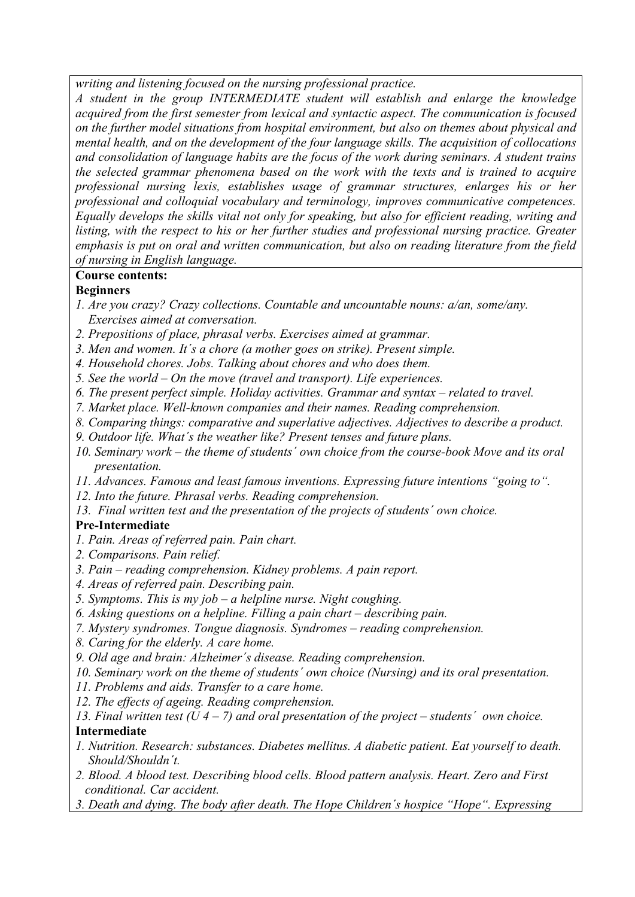*writing and listening focused on the nursing professional practice.* 

*A student in the group INTERMEDIATE student will establish and enlarge the knowledge acquired from the first semester from lexical and syntactic aspect. The communication is focused on the further model situations from hospital environment, but also on themes about physical and mental health, and on the development of the four language skills. The acquisition of collocations and consolidation of language habits are the focus of the work during seminars. A student trains the selected grammar phenomena based on the work with the texts and is trained to acquire professional nursing lexis, establishes usage of grammar structures, enlarges his or her professional and colloquial vocabulary and terminology, improves communicative competences. Equally develops the skills vital not only for speaking, but also for efficient reading, writing and listing, with the respect to his or her further studies and professional nursing practice. Greater emphasis is put on oral and written communication, but also on reading literature from the field of nursing in English language.*

## **Course contents:**

### **Beginners**

- *1. Are you crazy? Crazy collections. Countable and uncountable nouns: a/an, some/any. Exercises aimed at conversation.*
- *2. Prepositions of place, phrasal verbs. Exercises aimed at grammar.*
- *3. Men and women. It´s a chore (a mother goes on strike). Present simple.*
- *4. Household chores. Jobs. Talking about chores and who does them.*
- *5. See the world On the move (travel and transport). Life experiences.*
- *6. The present perfect simple. Holiday activities. Grammar and syntax related to travel.*
- *7. Market place. Well-known companies and their names. Reading comprehension.*
- *8. Comparing things: comparative and superlative adjectives. Adjectives to describe a product.*
- *9. Outdoor life. What´s the weather like? Present tenses and future plans.*
- *10. Seminary work the theme of students´ own choice from the course-book Move and its oral presentation.*
- *11. Advances. Famous and least famous inventions. Expressing future intentions "going to".*
- *12. Into the future. Phrasal verbs. Reading comprehension.*
- *13. Final written test and the presentation of the projects of students´ own choice.*

### **Pre-Intermediate**

- *1. Pain. Areas of referred pain. Pain chart.*
- *2. Comparisons. Pain relief.*
- *3. Pain reading comprehension. Kidney problems. A pain report.*
- *4. Areas of referred pain. Describing pain.*
- *5. Symptoms. This is my job a helpline nurse. Night coughing.*
- *6. Asking questions on a helpline. Filling a pain chart describing pain.*
- *7. Mystery syndromes. Tongue diagnosis. Syndromes reading comprehension.*
- *8. Caring for the elderly. A care home.*
- *9. Old age and brain: Alzheimer´s disease. Reading comprehension.*
- *10. Seminary work on the theme of students´ own choice (Nursing) and its oral presentation.*
- *11. Problems and aids. Transfer to a care home.*
- *12. The effects of ageing. Reading comprehension.*

#### *13. Final written test (U 4 – 7) and oral presentation of the project – students´ own choice.*  **Intermediate**

- *1. Nutrition. Research: substances. Diabetes mellitus. A diabetic patient. Eat yourself to death. Should/Shouldn´t.*
- *2. Blood. A blood test. Describing blood cells. Blood pattern analysis. Heart. Zero and First conditional. Car accident.*
- *3. Death and dying. The body after death. The Hope Children´s hospice "Hope". Expressing*